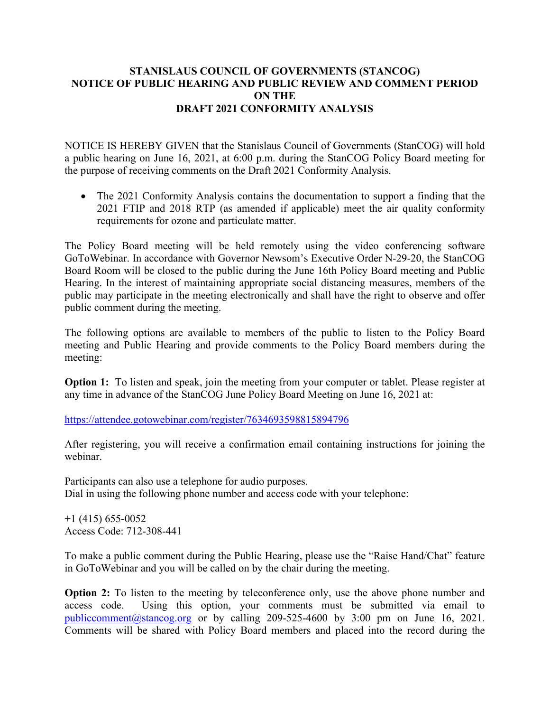## **STANISLAUS COUNCIL OF GOVERNMENTS (STANCOG) NOTICE OF PUBLIC HEARING AND PUBLIC REVIEW AND COMMENT PERIOD ON THE DRAFT 2021 CONFORMITY ANALYSIS**

NOTICE IS HEREBY GIVEN that the Stanislaus Council of Governments (StanCOG) will hold a public hearing on June 16, 2021, at 6:00 p.m. during the StanCOG Policy Board meeting for the purpose of receiving comments on the Draft 2021 Conformity Analysis.

• The 2021 Conformity Analysis contains the documentation to support a finding that the 2021 FTIP and 2018 RTP (as amended if applicable) meet the air quality conformity requirements for ozone and particulate matter.

The Policy Board meeting will be held remotely using the video conferencing software GoToWebinar. In accordance with Governor Newsom's Executive Order N-29-20, the StanCOG Board Room will be closed to the public during the June 16th Policy Board meeting and Public Hearing. In the interest of maintaining appropriate social distancing measures, members of the public may participate in the meeting electronically and shall have the right to observe and offer public comment during the meeting.

The following options are available to members of the public to listen to the Policy Board meeting and Public Hearing and provide comments to the Policy Board members during the meeting:

**Option 1:** To listen and speak, join the meeting from your computer or tablet. Please register at any time in advance of the StanCOG June Policy Board Meeting on June 16, 2021 at:

<https://attendee.gotowebinar.com/register/7634693598815894796>

After registering, you will receive a confirmation email containing instructions for joining the webinar.

Participants can also use a telephone for audio purposes. Dial in using the following phone number and access code with your telephone:

 $+1$  (415) 655-0052 Access Code: 712-308-441

To make a public comment during the Public Hearing, please use the "Raise Hand/Chat" feature in GoToWebinar and you will be called on by the chair during the meeting.

**Option 2:** To listen to the meeting by teleconference only, use the above phone number and access code. Using this option, your comments must be submitted via email to [publiccomment@stancog.org](mailto:publiccomment@stancog.org) or by calling 209-525-4600 by 3:00 pm on June 16, 2021. Comments will be shared with Policy Board members and placed into the record during the